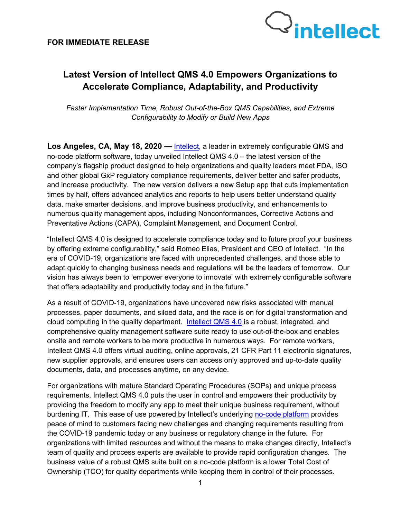

# **Latest Version of Intellect QMS 4.0 Empowers Organizations to Accelerate Compliance, Adaptability, and Productivity**

*Faster Implementation Time, Robust Out-of-the-Box QMS Capabilities, and Extreme Configurability to Modify or Build New Apps*

**Los Angeles, CA, May 18, 2020 —** [Intellect,](http://www.intellect.com/) a leader in extremely configurable QMS and no-code platform software, today unveiled Intellect QMS 4.0 – the latest version of the company's flagship product designed to help organizations and quality leaders meet FDA, ISO and other global GxP regulatory compliance requirements, deliver better and safer products, and increase productivity. The new version delivers a new Setup app that cuts implementation times by half, offers advanced analytics and reports to help users better understand quality data, make smarter decisions, and improve business productivity, and enhancements to numerous quality management apps, including Nonconformances, Corrective Actions and Preventative Actions (CAPA), Complaint Management, and Document Control.

"Intellect QMS 4.0 is designed to accelerate compliance today and to future proof your business by offering extreme configurability," said Romeo Elias, President and CEO of Intellect. "In the era of COVID-19, organizations are faced with unprecedented challenges, and those able to adapt quickly to changing business needs and regulations will be the leaders of tomorrow. Our vision has always been to 'empower everyone to innovate' with extremely configurable software that offers adaptability and productivity today and in the future."

As a result of COVID-19, organizations have uncovered new risks associated with manual processes, paper documents, and siloed data, and the race is on for digital transformation and cloud computing in the quality department. [Intellect QMS](https://www.intellect.com/quality-management-software) 4.0 is a robust, integrated, and comprehensive quality management software suite ready to use out-of-the-box and enables onsite and remote workers to be more productive in numerous ways. For remote workers, Intellect QMS 4.0 offers virtual auditing, online approvals, 21 CFR Part 11 electronic signatures, new supplier approvals, and ensures users can access only approved and up-to-date quality documents, data, and processes anytime, on any device.

For organizations with mature Standard Operating Procedures (SOPs) and unique process requirements, Intellect QMS 4.0 puts the user in control and empowers their productivity by providing the freedom to modify any app to meet their unique business requirement, without burdening IT. This ease of use powered by Intellect's underlying [no-code platform](https://www.intellect.com/intellect-compliance-platform) provides peace of mind to customers facing new challenges and changing requirements resulting from the COVID-19 pandemic today or any business or regulatory change in the future. For organizations with limited resources and without the means to make changes directly, Intellect's team of quality and process experts are available to provide rapid configuration changes. The business value of a robust QMS suite built on a no-code platform is a lower Total Cost of Ownership (TCO) for quality departments while keeping them in control of their processes.